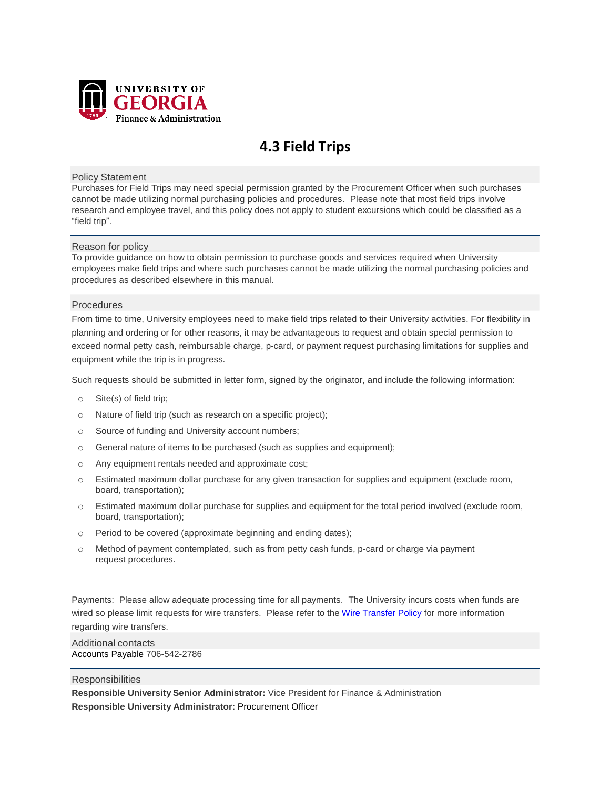

# **4.3 Field Trips**

#### Policy Statement

Purchases for Field Trips may need special permission granted by the Procurement Officer when such purchases cannot be made utilizing normal purchasing policies and procedures. Please note that most field trips involve research and employee travel, and this policy does not apply to student excursions which could be classified as a "field trip".

#### Reason for policy

To provide guidance on how to obtain permission to purchase goods and services required when University employees make field trips and where such purchases cannot be made utilizing the normal purchasing policies and procedures as described elsewhere in this manual.

#### **Procedures**

From time to time, University employees need to make field trips related to their University activities. For flexibility in planning and ordering or for other reasons, it may be advantageous to request and obtain special permission to exceed normal petty cash, reimbursable charge, p-card, or payment request purchasing limitations for supplies and equipment while the trip is in progress.

Such requests should be submitted in letter form, signed by the originator, and include the following information:

- o Site(s) of field trip;
- o Nature of field trip (such as research on a specific project);
- o Source of funding and University account numbers;
- o General nature of items to be purchased (such as supplies and equipment);
- o Any equipment rentals needed and approximate cost;
- o Estimated maximum dollar purchase for any given transaction for supplies and equipment (exclude room, board, transportation);
- o Estimated maximum dollar purchase for supplies and equipment for the total period involved (exclude room, board, transportation);
- o Period to be covered (approximate beginning and ending dates);
- o Method of payment contemplated, such as from petty cash funds, p-card or charge via payment request procedures.

Payments: Please allow adequate processing time for all payments. The University incurs costs when funds are wired so please limit requests for wire transfers. Please refer to the [Wire Transfer Policy](https://policies.uga.edu/Purchasing-and-Payment-Processing/Purchasing-and-Payment-Mechanisms/Purchase-Requests/Payments-of-Invoices-Issued-Against-Purchase-Orders/Wire-Transfers/) for more information regarding wire transfers.

Additional contacts [Accounts Payable](http://www.busfin.uga.edu/accounts_payable/apstaff.htm) 706-542-2786

#### **Responsibilities**

**Responsible University Senior Administrator:** Vice President for Finance & Administration **Responsible University Administrator:** Procurement Officer